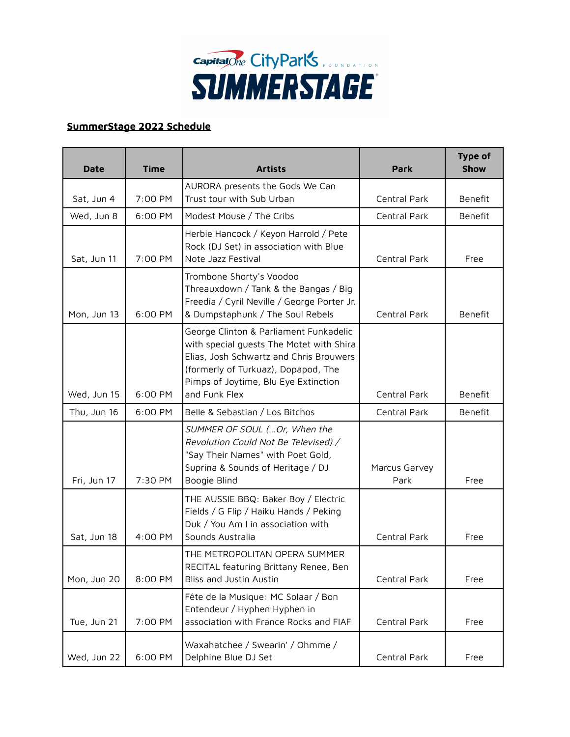

## **SummerStage 2022 Schedule**

| <b>Date</b> | <b>Time</b> | <b>Artists</b>                                                                                                                                                                                                                | <b>Park</b>           | <b>Type of</b><br><b>Show</b> |
|-------------|-------------|-------------------------------------------------------------------------------------------------------------------------------------------------------------------------------------------------------------------------------|-----------------------|-------------------------------|
|             |             | AURORA presents the Gods We Can                                                                                                                                                                                               |                       |                               |
| Sat, Jun 4  | 7:00 PM     | Trust tour with Sub Urban                                                                                                                                                                                                     | Central Park          | Benefit                       |
| Wed, Jun 8  | 6:00 PM     | Modest Mouse / The Cribs                                                                                                                                                                                                      | Central Park          | Benefit                       |
| Sat, Jun 11 | 7:00 PM     | Herbie Hancock / Keyon Harrold / Pete<br>Rock (DJ Set) in association with Blue<br>Note Jazz Festival                                                                                                                         | Central Park          | Free                          |
| Mon, Jun 13 | 6:00 PM     | Trombone Shorty's Voodoo<br>Threauxdown / Tank & the Bangas / Big<br>Freedia / Cyril Neville / George Porter Jr.<br>& Dumpstaphunk / The Soul Rebels                                                                          | Central Park          | Benefit                       |
| Wed, Jun 15 | 6:00 PM     | George Clinton & Parliament Funkadelic<br>with special guests The Motet with Shira<br>Elias, Josh Schwartz and Chris Brouwers<br>(formerly of Turkuaz), Dopapod, The<br>Pimps of Joytime, Blu Eye Extinction<br>and Funk Flex | Central Park          | Benefit                       |
| Thu, Jun 16 | 6:00 PM     | Belle & Sebastian / Los Bitchos                                                                                                                                                                                               | Central Park          | Benefit                       |
| Fri, Jun 17 | 7:30 PM     | SUMMER OF SOUL ( Or, When the<br>Revolution Could Not Be Televised) /<br>"Say Their Names" with Poet Gold,<br>Suprina & Sounds of Heritage / DJ<br>Boogie Blind                                                               | Marcus Garvey<br>Park | Free                          |
| Sat, Jun 18 | 4:00 PM     | THE AUSSIE BBQ: Baker Boy / Electric<br>Fields / G Flip / Haiku Hands / Peking<br>Duk / You Am I in association with<br>Sounds Australia                                                                                      | Central Park          | Free                          |
| Mon, Jun 20 | 8:00 PM     | THE METROPOLITAN OPERA SUMMER<br>RECITAL featuring Brittany Renee, Ben<br>Bliss and Justin Austin                                                                                                                             | Central Park          | Free                          |
| Tue, Jun 21 | 7:00 PM     | Fête de la Musique: MC Solaar / Bon<br>Entendeur / Hyphen Hyphen in<br>association with France Rocks and FIAF                                                                                                                 | Central Park          | Free                          |
| Wed, Jun 22 | 6:00 PM     | Waxahatchee / Swearin' / Ohmme /<br>Delphine Blue DJ Set                                                                                                                                                                      | Central Park          | Free                          |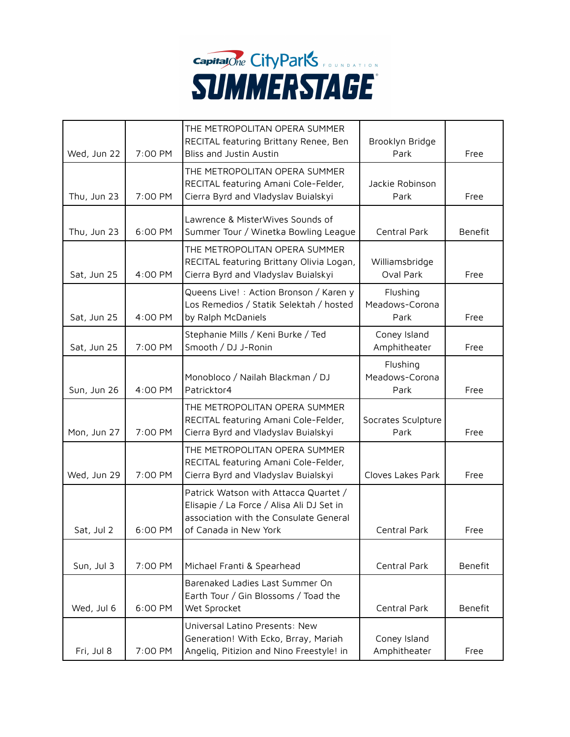

| Wed, Jun 22 | 7:00 PM | THE METROPOLITAN OPERA SUMMER<br>RECITAL featuring Brittany Renee, Ben<br>Bliss and Justin Austin                                                     | Brooklyn Bridge<br>Park            | Free    |
|-------------|---------|-------------------------------------------------------------------------------------------------------------------------------------------------------|------------------------------------|---------|
| Thu, Jun 23 | 7:00 PM | THE METROPOLITAN OPERA SUMMER<br>RECITAL featuring Amani Cole-Felder,<br>Cierra Byrd and Vladyslav Buialskyi                                          | Jackie Robinson<br>Park            | Free    |
| Thu, Jun 23 | 6:00 PM | Lawrence & MisterWives Sounds of<br>Summer Tour / Winetka Bowling League                                                                              | Central Park                       | Benefit |
| Sat, Jun 25 | 4:00 PM | THE METROPOLITAN OPERA SUMMER<br>RECITAL featuring Brittany Olivia Logan,<br>Cierra Byrd and Vladyslav Buialskyi                                      | Williamsbridge<br>Oval Park        | Free    |
| Sat, Jun 25 | 4:00 PM | Queens Live! : Action Bronson / Karen y<br>Los Remedios / Statik Selektah / hosted<br>by Ralph McDaniels                                              | Flushing<br>Meadows-Corona<br>Park | Free    |
| Sat, Jun 25 | 7:00 PM | Stephanie Mills / Keni Burke / Ted<br>Smooth / DJ J-Ronin                                                                                             | Coney Island<br>Amphitheater       | Free    |
| Sun, Jun 26 | 4:00 PM | Monobloco / Nailah Blackman / DJ<br>Patricktor4                                                                                                       | Flushing<br>Meadows-Corona<br>Park | Free    |
| Mon, Jun 27 | 7:00 PM | THE METROPOLITAN OPERA SUMMER<br>RECITAL featuring Amani Cole-Felder,<br>Cierra Byrd and Vladyslav Buialskyi                                          | Socrates Sculpture<br>Park         | Free    |
| Wed, Jun 29 | 7:00 PM | THE METROPOLITAN OPERA SUMMER<br>RECITAL featuring Amani Cole-Felder,<br>Cierra Byrd and Vladyslav Buialskyi                                          | Cloves Lakes Park                  | Free    |
| Sat, Jul 2  | 6:00 PM | Patrick Watson with Attacca Quartet /<br>Elisapie / La Force / Alisa Ali DJ Set in<br>association with the Consulate General<br>of Canada in New York | Central Park                       | Free    |
| Sun, Jul 3  | 7:00 PM | Michael Franti & Spearhead                                                                                                                            | Central Park                       | Benefit |
| Wed, Jul 6  | 6:00 PM | Barenaked Ladies Last Summer On<br>Earth Tour / Gin Blossoms / Toad the<br>Wet Sprocket                                                               | Central Park                       | Benefit |
| Fri, Jul 8  | 7:00 PM | Universal Latino Presents: New<br>Generation! With Ecko, Brray, Mariah<br>Angelig, Pitizion and Nino Freestyle! in                                    | Coney Island<br>Amphitheater       | Free    |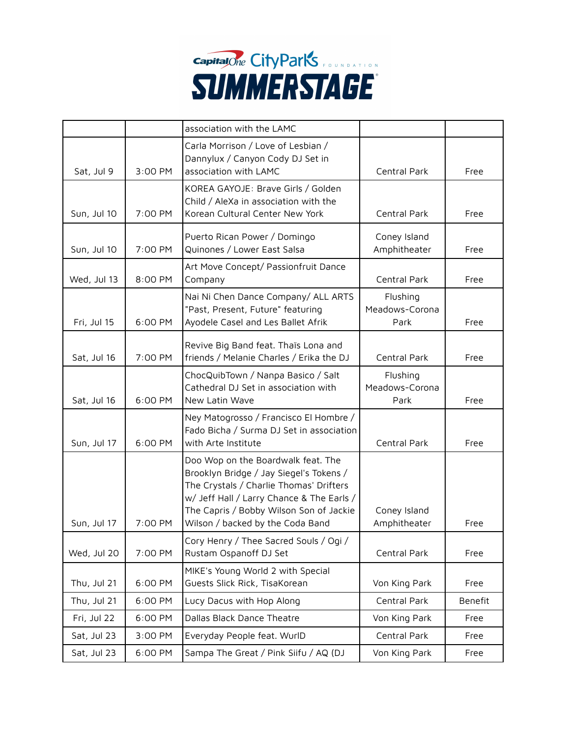

|             |         | association with the LAMC                                                                                                                                                                                                                            |                                    |         |
|-------------|---------|------------------------------------------------------------------------------------------------------------------------------------------------------------------------------------------------------------------------------------------------------|------------------------------------|---------|
| Sat, Jul 9  | 3:00 PM | Carla Morrison / Love of Lesbian /<br>Dannylux / Canyon Cody DJ Set in<br>association with LAMC                                                                                                                                                      | Central Park                       | Free    |
| Sun, Jul 10 | 7:00 PM | KOREA GAYOJE: Brave Girls / Golden<br>Child / AleXa in association with the<br>Korean Cultural Center New York                                                                                                                                       | Central Park                       | Free    |
| Sun, Jul 10 | 7:00 PM | Puerto Rican Power / Domingo<br>Quinones / Lower East Salsa                                                                                                                                                                                          | Coney Island<br>Amphitheater       | Free    |
| Wed, Jul 13 | 8:00 PM | Art Move Concept/ Passionfruit Dance<br>Company                                                                                                                                                                                                      | Central Park                       | Free    |
| Fri, Jul 15 | 6:00 PM | Nai Ni Chen Dance Company/ ALL ARTS<br>"Past, Present, Future" featuring<br>Ayodele Casel and Les Ballet Afrik                                                                                                                                       | Flushing<br>Meadows-Corona<br>Park | Free    |
| Sat, Jul 16 | 7:00 PM | Revive Big Band feat. Thaïs Lona and<br>friends / Melanie Charles / Erika the DJ                                                                                                                                                                     | Central Park                       | Free    |
| Sat, Jul 16 | 6:00 PM | ChocQuibTown / Nanpa Basico / Salt<br>Cathedral DJ Set in association with<br>New Latin Wave                                                                                                                                                         | Flushing<br>Meadows-Corona<br>Park | Free    |
| Sun, Jul 17 | 6:00 PM | Ney Matogrosso / Francisco El Hombre /<br>Fado Bicha / Surma DJ Set in association<br>with Arte Institute                                                                                                                                            | Central Park                       | Free    |
| Sun, Jul 17 | 7:00 PM | Doo Wop on the Boardwalk feat. The<br>Brooklyn Bridge / Jay Siegel's Tokens /<br>The Crystals / Charlie Thomas' Drifters<br>w/ Jeff Hall / Larry Chance & The Earls /<br>The Capris / Bobby Wilson Son of Jackie<br>Wilson / backed by the Coda Band | Coney Island<br>Amphitheater       | Free    |
| Wed, Jul 20 | 7:00 PM | Cory Henry / Thee Sacred Souls / Oqi /<br>Rustam Ospanoff DJ Set                                                                                                                                                                                     | Central Park                       | Free    |
| Thu, Jul 21 | 6:00 PM | MIKE's Young World 2 with Special<br>Guests Slick Rick, TisaKorean                                                                                                                                                                                   | Von King Park                      | Free    |
| Thu, Jul 21 | 6:00 PM | Lucy Dacus with Hop Along                                                                                                                                                                                                                            | Central Park                       | Benefit |
| Fri, Jul 22 | 6:00 PM | Dallas Black Dance Theatre                                                                                                                                                                                                                           | Von King Park                      | Free    |
| Sat, Jul 23 | 3:00 PM | Everyday People feat. WurlD                                                                                                                                                                                                                          | Central Park                       | Free    |
| Sat, Jul 23 | 6:00 PM | Sampa The Great / Pink Siifu / AQ (DJ                                                                                                                                                                                                                | Von King Park                      | Free    |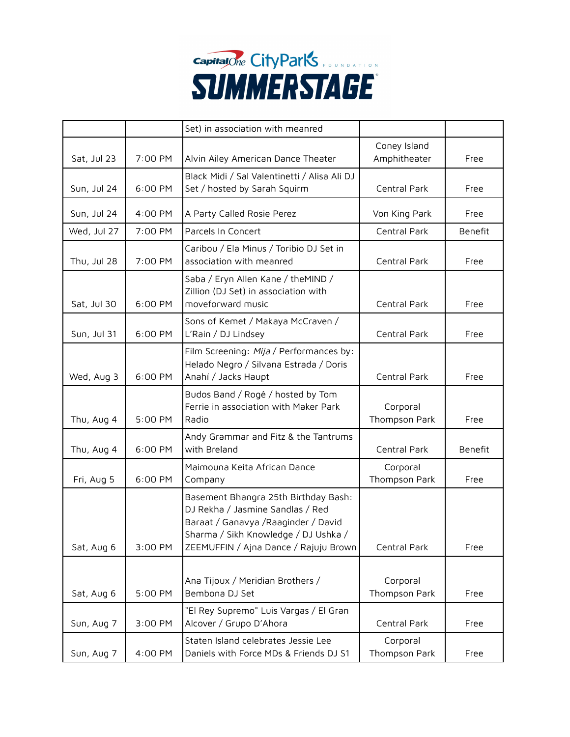

|             |         | Set) in association with meanred                                                                                                                                                                  |                              |         |
|-------------|---------|---------------------------------------------------------------------------------------------------------------------------------------------------------------------------------------------------|------------------------------|---------|
| Sat, Jul 23 | 7:00 PM | Alvin Ailey American Dance Theater                                                                                                                                                                | Coney Island<br>Amphitheater | Free    |
| Sun, Jul 24 | 6:00 PM | Black Midi / Sal Valentinetti / Alisa Ali DJ<br>Set / hosted by Sarah Squirm                                                                                                                      | Central Park                 | Free    |
| Sun, Jul 24 | 4:00 PM | A Party Called Rosie Perez                                                                                                                                                                        | Von King Park                | Free    |
| Wed, Jul 27 | 7:00 PM | Parcels In Concert                                                                                                                                                                                | Central Park                 | Benefit |
| Thu, Jul 28 | 7:00 PM | Caribou / Ela Minus / Toribio DJ Set in<br>association with meanred                                                                                                                               | Central Park                 | Free    |
| Sat, Jul 30 | 6:00 PM | Saba / Eryn Allen Kane / theMIND /<br>Zillion (DJ Set) in association with<br>moveforward music                                                                                                   | Central Park                 | Free    |
| Sun, Jul 31 | 6:00 PM | Sons of Kemet / Makaya McCraven /<br>L'Rain / DJ Lindsey                                                                                                                                          | Central Park                 | Free    |
| Wed, Aug 3  | 6:00 PM | Film Screening: Mija / Performances by:<br>Helado Negro / Silvana Estrada / Doris<br>Anahí / Jacks Haupt                                                                                          | Central Park                 | Free    |
| Thu, Aug 4  | 5:00 PM | Budos Band / Rogê / hosted by Tom<br>Ferrie in association with Maker Park<br>Radio                                                                                                               | Corporal<br>Thompson Park    | Free    |
| Thu, Aug 4  | 6:00 PM | Andy Grammar and Fitz & the Tantrums<br>with Breland                                                                                                                                              | Central Park                 | Benefit |
| Fri, Aug 5  | 6:00 PM | Maimouna Keita African Dance<br>Company                                                                                                                                                           | Corporal<br>Thompson Park    | Free    |
| Sat, Aug 6  | 3:00 PM | Basement Bhangra 25th Birthday Bash:<br>DJ Rekha / Jasmine Sandlas / Red<br>Baraat / Ganavya / Raaginder / David<br>Sharma / Sikh Knowledge / DJ Ushka /<br>ZEEMUFFIN / Ajna Dance / Rajuju Brown | Central Park                 | Free    |
| Sat, Aug 6  | 5:00 PM | Ana Tijoux / Meridian Brothers /<br>Bembona DJ Set                                                                                                                                                | Corporal<br>Thompson Park    | Free    |
| Sun, Aug 7  | 3:00 PM | "El Rey Supremo" Luis Vargas / El Gran<br>Alcover / Grupo D'Ahora                                                                                                                                 | Central Park                 | Free    |
| Sun, Aug 7  | 4:00 PM | Staten Island celebrates Jessie Lee<br>Daniels with Force MDs & Friends DJ S1                                                                                                                     | Corporal<br>Thompson Park    | Free    |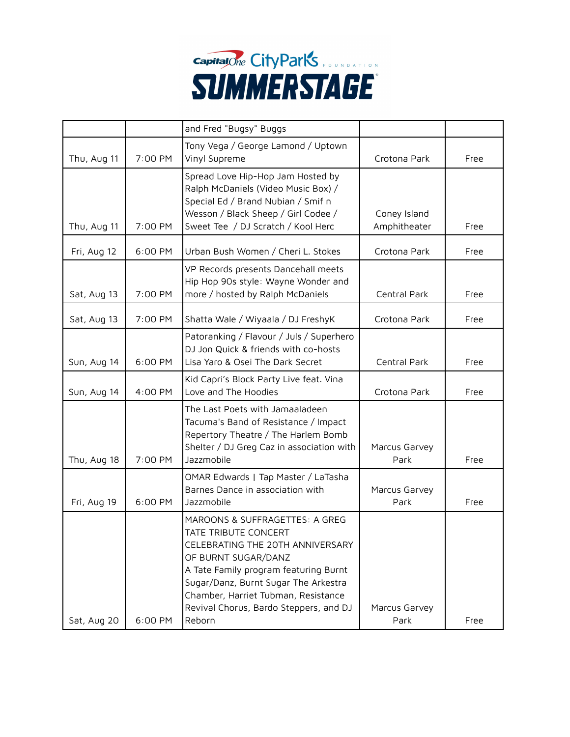

|             |         | and Fred "Bugsy" Buggs                                                                                                                                                                                                                                                                        |                              |      |
|-------------|---------|-----------------------------------------------------------------------------------------------------------------------------------------------------------------------------------------------------------------------------------------------------------------------------------------------|------------------------------|------|
| Thu, Aug 11 | 7:00 PM | Tony Vega / George Lamond / Uptown<br>Vinyl Supreme                                                                                                                                                                                                                                           | Crotona Park                 | Free |
| Thu, Aug 11 | 7:00 PM | Spread Love Hip-Hop Jam Hosted by<br>Ralph McDaniels (Video Music Box) /<br>Special Ed / Brand Nubian / Smif n<br>Wesson / Black Sheep / Girl Codee /<br>Sweet Tee / DJ Scratch / Kool Herc                                                                                                   | Coney Island<br>Amphitheater | Free |
| Fri, Aug 12 | 6:00 PM | Urban Bush Women / Cheri L. Stokes                                                                                                                                                                                                                                                            | Crotona Park                 | Free |
| Sat, Aug 13 | 7:00 PM | VP Records presents Dancehall meets<br>Hip Hop 90s style: Wayne Wonder and<br>more / hosted by Ralph McDaniels                                                                                                                                                                                | Central Park                 | Free |
| Sat, Aug 13 | 7:00 PM | Shatta Wale / Wiyaala / DJ FreshyK                                                                                                                                                                                                                                                            | Crotona Park                 | Free |
| Sun, Aug 14 | 6:00 PM | Patoranking / Flavour / Juls / Superhero<br>DJ Jon Quick & friends with co-hosts<br>Lisa Yaro & Osei The Dark Secret                                                                                                                                                                          | Central Park                 | Free |
| Sun, Aug 14 | 4:00 PM | Kid Capri's Block Party Live feat. Vina<br>Love and The Hoodies                                                                                                                                                                                                                               | Crotona Park                 | Free |
| Thu, Aug 18 | 7:00 PM | The Last Poets with Jamaaladeen<br>Tacuma's Band of Resistance / Impact<br>Repertory Theatre / The Harlem Bomb<br>Shelter / DJ Greg Caz in association with<br>Jazzmobile                                                                                                                     | Marcus Garvey<br>Park        | Free |
| Fri, Aug 19 | 6:00 PM | OMAR Edwards   Tap Master / LaTasha<br>Barnes Dance in association with<br>Jazzmobile                                                                                                                                                                                                         | Marcus Garvey<br>Park        | Free |
| Sat, Aug 20 | 6:00 PM | MAROONS & SUFFRAGETTES: A GREG<br>TATE TRIBUTE CONCERT<br>CELEBRATING THE 20TH ANNIVERSARY<br>OF BURNT SUGAR/DANZ<br>A Tate Family program featuring Burnt<br>Sugar/Danz, Burnt Sugar The Arkestra<br>Chamber, Harriet Tubman, Resistance<br>Revival Chorus, Bardo Steppers, and DJ<br>Reborn | Marcus Garvey<br>Park        | Free |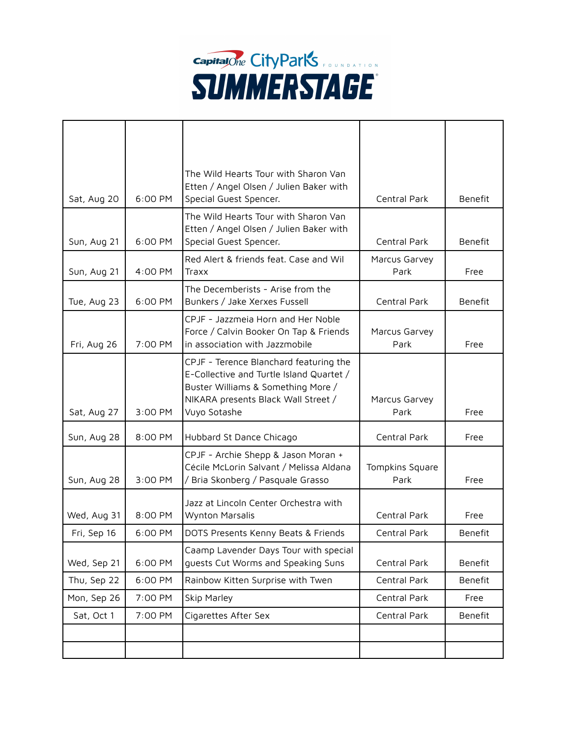

| Sat, Aug 20 | 6:00 PM | The Wild Hearts Tour with Sharon Van<br>Etten / Angel Olsen / Julien Baker with<br>Special Guest Spencer.                                                                       | Central Park            | Benefit        |
|-------------|---------|---------------------------------------------------------------------------------------------------------------------------------------------------------------------------------|-------------------------|----------------|
| Sun, Aug 21 | 6:00 PM | The Wild Hearts Tour with Sharon Van<br>Etten / Angel Olsen / Julien Baker with<br>Special Guest Spencer.                                                                       | Central Park            | <b>Benefit</b> |
| Sun, Aug 21 | 4:00 PM | Red Alert & friends feat. Case and Wil<br>Traxx                                                                                                                                 | Marcus Garvey<br>Park   | Free           |
| Tue, Aug 23 | 6:00 PM | The Decemberists - Arise from the<br>Bunkers / Jake Xerxes Fussell                                                                                                              | Central Park            | <b>Benefit</b> |
| Fri, Aug 26 | 7:00 PM | CPJF - Jazzmeia Horn and Her Noble<br>Force / Calvin Booker On Tap & Friends<br>in association with Jazzmobile                                                                  | Marcus Garvey<br>Park   | Free           |
| Sat, Aug 27 | 3:00 PM | CPJF - Terence Blanchard featuring the<br>E-Collective and Turtle Island Quartet /<br>Buster Williams & Something More /<br>NIKARA presents Black Wall Street /<br>Vuyo Sotashe | Marcus Garvey<br>Park   | Free           |
| Sun, Aug 28 | 8:00 PM | Hubbard St Dance Chicago                                                                                                                                                        | Central Park            | Free           |
| Sun, Aug 28 | 3:00 PM | CPJF - Archie Shepp & Jason Moran +<br>Cécile McLorin Salvant / Melissa Aldana<br>/ Bria Skonberg / Pasquale Grasso                                                             | Tompkins Square<br>Park | Free           |
| Wed, Aug 31 | 8:00 PM | Jazz at Lincoln Center Orchestra with<br>Wynton Marsalis                                                                                                                        | Central Park            | Free           |
| Fri, Sep 16 | 6:00 PM | DOTS Presents Kenny Beats & Friends                                                                                                                                             | Central Park            | Benefit        |
| Wed, Sep 21 | 6:00 PM | Caamp Lavender Days Tour with special<br>quests Cut Worms and Speaking Suns                                                                                                     | Central Park            | Benefit        |
| Thu, Sep 22 | 6:00 PM | Rainbow Kitten Surprise with Twen                                                                                                                                               | Central Park            | Benefit        |
| Mon, Sep 26 | 7:00 PM | Skip Marley                                                                                                                                                                     | Central Park            | Free           |
| Sat, Oct 1  | 7:00 PM | Cigarettes After Sex                                                                                                                                                            | Central Park            | Benefit        |
|             |         |                                                                                                                                                                                 |                         |                |
|             |         |                                                                                                                                                                                 |                         |                |